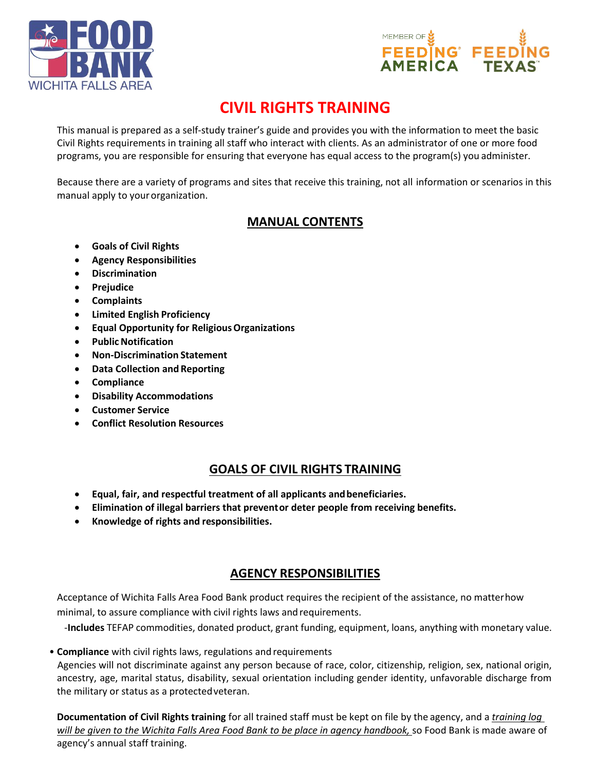



# **CIVIL RIGHTS TRAINING**

This manual is prepared as a self‐study trainer's guide and provides you with the information to meet the basic Civil Rights requirements in training all staff who interact with clients. As an administrator of one or more food programs, you are responsible for ensuring that everyone has equal access to the program(s) you administer.

Because there are a variety of programs and sites that receive this training, not all information or scenarios in this manual apply to your organization.

# **MANUAL CONTENTS**

- **Goals of Civil Rights**
- **Agency Responsibilities**
- **Discrimination**
- **Prejudice**
- **Complaints**
- **Limited English Proficiency**
- **Equal Opportunity for ReligiousOrganizations**
- **PublicNotification**
- **Non‐Discrimination Statement**
- **Data Collection and Reporting**
- **Compliance**
- **Disability Accommodations**
- **Customer Service**
- **Conflict Resolution Resources**

# **GOALS OF CIVIL RIGHTS TRAINING**

- **Equal, fair, and respectful treatment of all applicants andbeneficiaries.**
- **Elimination of illegal barriers that preventor deter people from receiving benefits.**
- **Knowledge of rights and responsibilities.**

# **AGENCY RESPONSIBILITIES**

Acceptance of Wichita Falls Area Food Bank product requires the recipient of the assistance, no matterhow minimal, to assure compliance with civil rights laws andrequirements.

‐**Includes** TEFAP commodities, donated product, grant funding, equipment, loans, anything with monetary value.

• **Compliance** with civil rights laws, regulations and requirements Agencies will not discriminate against any person because of race, color, citizenship, religion, sex, national origin, ancestry, age, marital status, disability, sexual orientation including gender identity, unfavorable discharge from the military or status as a protectedveteran.

**Documentation of Civil Rights training** for all trained staff must be kept on file by the agency, and a *training log will be given to the Wichita Falls Area Food Bank to be place in agency handbook,* so Food Bank is made aware of agency's annual staff training.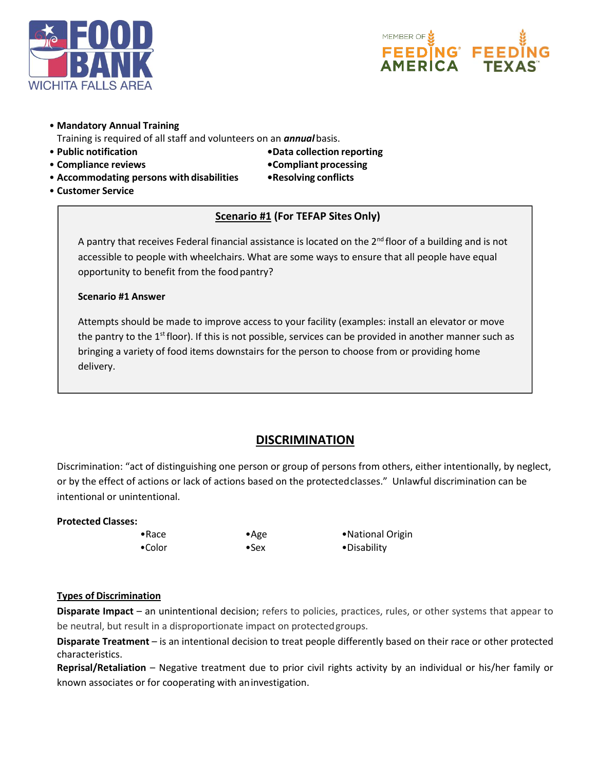



#### • **Mandatory Annual Training**

Training is required of all staff and volunteers on an *annual*basis.

- **Public notification •Data collection reporting**
- **Compliance reviews •Compliant processing**
- -
- **Accommodating persons with disabilities •Resolving conflicts**
- **Customer Service**

### **Scenario #1 (For TEFAP Sites Only)**

A pantry that receives Federal financial assistance is located on the  $2<sup>nd</sup>$  floor of a building and is not accessible to people with wheelchairs. What are some ways to ensure that all people have equal opportunity to benefit from the food pantry?

#### **Scenario #1 Answer**

Attempts should be made to improve access to your facility (examples: install an elevator or move the pantry to the  $1<sup>st</sup>$  floor). If this is not possible, services can be provided in another manner such as bringing a variety of food items downstairs for the person to choose from or providing home delivery.

## **DISCRIMINATION**

Discrimination: "act of distinguishing one person or group of persons from others, either intentionally, by neglect, or by the effect of actions or lack of actions based on the protectedclasses." Unlawful discrimination can be intentional or unintentional.

#### **Protected Classes:**

•Race •Age •National Origin •Color •Sex •Disability

#### **Types of Discrimination**

**Disparate Impact** – an unintentional decision; refers to policies, practices, rules, or other systems that appear to be neutral, but result in a disproportionate impact on protectedgroups.

**Disparate Treatment** – is an intentional decision to treat people differently based on their race or other protected characteristics.

**Reprisal/Retaliation** – Negative treatment due to prior civil rights activity by an individual or his/her family or known associates or for cooperating with aninvestigation.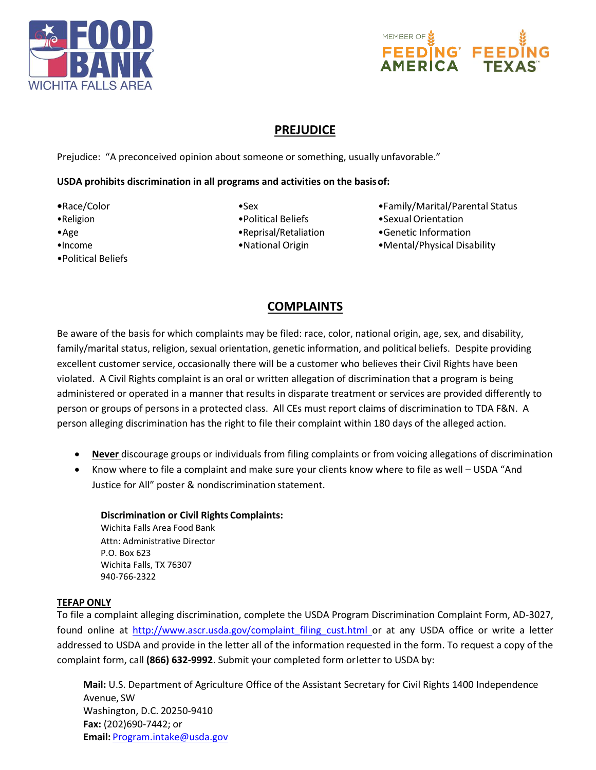



# **PREJUDICE**

Prejudice: "A preconceived opinion about someone or something, usually unfavorable."

#### **USDA prohibits discrimination in all programs and activities on the basisof:**

- 
- 
- 
- 
- •Political Beliefs
- 
- 
- 
- 
- •Race/Color •Sex •Sex •Sex Family/Marital/Parental Status
- •Religion •Political Beliefs •SexualOrientation
- •Age eprisal/Retaliation Genetic Information Construction Construction
- •Income •National Origin •Mental/Physical Disability

# **COMPLAINTS**

Be aware of the basis for which complaints may be filed: race, color, national origin, age, sex, and disability, family/marital status, religion, sexual orientation, genetic information, and political beliefs. Despite providing excellent customer service, occasionally there will be a customer who believes their Civil Rights have been violated. A Civil Rights complaint is an oral or written allegation of discrimination that a program is being administered or operated in a manner that results in disparate treatment or services are provided differently to person or groups of persons in a protected class. All CEs must report claims of discrimination to TDA F&N. A person alleging discrimination has the right to file their complaint within 180 days of the alleged action.

- **Never** discourage groups or individuals from filing complaints or from voicing allegations of discrimination
- Know where to file a complaint and make sure your clients know where to file as well USDA "And Justice for All" poster & nondiscrimination statement.

#### **Discrimination or Civil Rights Complaints:** Wichita Falls Area Food Bank Attn: Administrative Director P.O. Box 623 Wichita Falls, TX 76307 940-766-2322

### **TEFAP ONLY**

To file a complaint alleging discrimination, complete the USDA Program Discrimination Complaint Form, AD‐3027, found online at http://www.ascr.usda.gov/complaint filing cust.html or at any USDA office or write a letter addressed to USDA and provide in the letter all of the information requested in the form. To request a copy of the complaint form, call **(866) 632‐9992**. Submit your completed form orletter to USDA by:

**Mail:** U.S. Department of Agriculture Office of the Assistant Secretary for Civil Rights 1400 Independence Avenue, SW Washington, D.C. 20250‐9410 **Fax:** (202)690‐7442; or **Email:** [Program.intake@usda.gov](mailto:Program.intake@usda.gov)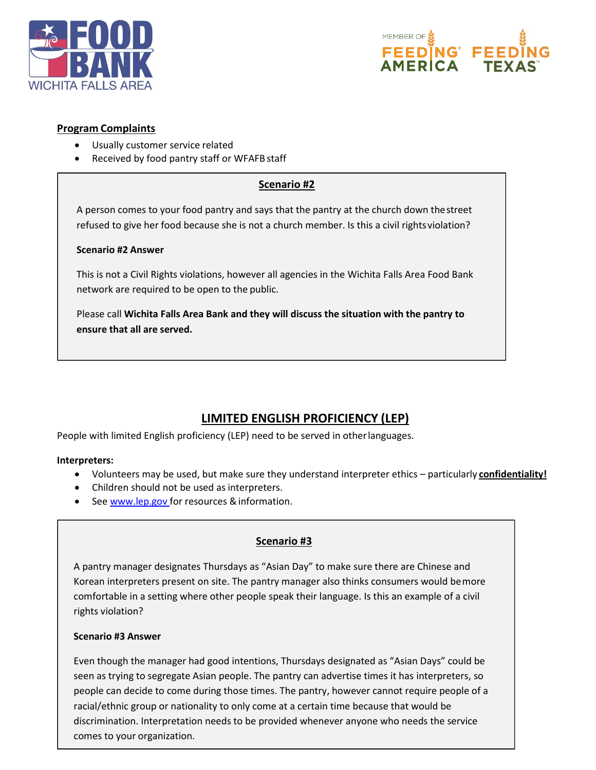



#### **Program Complaints**

- Usually customer service related
- Received by food pantry staff or WFAFB staff

#### **Scenario #2**

A person comes to your food pantry and says that the pantry at the church down thestreet refused to give her food because she is not a church member. Is this a civil rightsviolation?

#### **Scenario #2 Answer**

This is not a Civil Rights violations, however all agencies in the Wichita Falls Area Food Bank network are required to be open to the public.

Please call **Wichita Falls Area Bank and they will discuss the situation with the pantry to ensure that all are served.**

# **LIMITED ENGLISH PROFICIENCY (LEP)**

People with limited English proficiency (LEP) need to be served in otherlanguages.

#### **Interpreters:**

- Volunteers may be used, but make sure they understand interpreter ethics particularly **confidentiality!**
- Children should not be used as interpreters.
- See [www.lep.gov f](http://www.lep.gov/)or resources & information.

### **Scenario #3**

A pantry manager designates Thursdays as "Asian Day" to make sure there are Chinese and Korean interpreters present on site. The pantry manager also thinks consumers would bemore comfortable in a setting where other people speak their language. Is this an example of a civil rights violation?

#### **Scenario #3 Answer**

Even though the manager had good intentions, Thursdays designated as "Asian Days" could be seen as trying to segregate Asian people. The pantry can advertise times it has interpreters, so people can decide to come during those times. The pantry, however cannot require people of a racial/ethnic group or nationality to only come at a certain time because that would be discrimination. Interpretation needs to be provided whenever anyone who needs the service comes to your organization.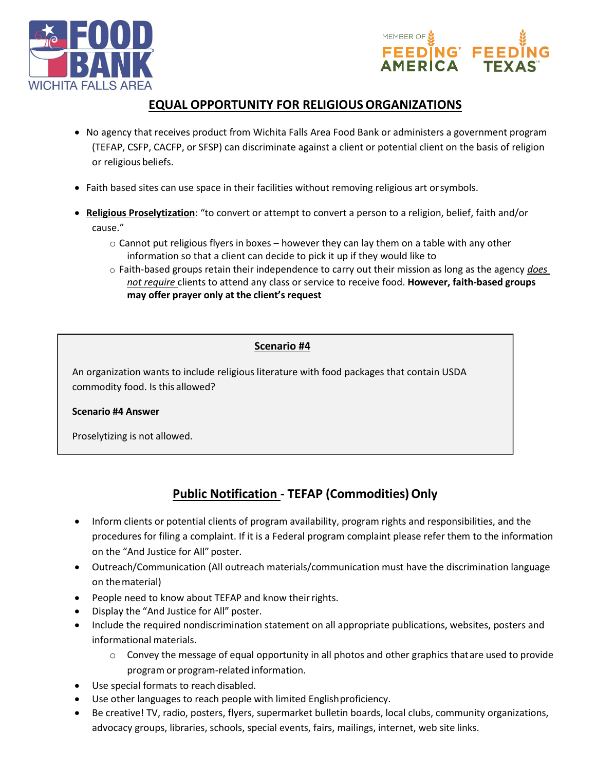



# **EQUAL OPPORTUNITY FOR RELIGIOUSORGANIZATIONS**

- No agency that receives product from Wichita Falls Area Food Bank or administers a government program (TEFAP, CSFP, CACFP, or SFSP) can discriminate against a client or potential client on the basis of religion or religious beliefs.
- Faith based sites can use space in their facilities without removing religious art orsymbols.
- **Religious Proselytization**: "to convert or attempt to convert a person to a religion, belief, faith and/or cause."
	- $\circ$  Cannot put religious flyers in boxes however they can lay them on a table with any other information so that a client can decide to pick it up if they would like to
	- o Faith‐based groups retain their independence to carry out their mission as long as the agency *does not require* clients to attend any class or service to receive food. **However, faith‐based groups may offer prayer only at the client's request**

#### **Scenario #4**

An organization wants to include religious literature with food packages that contain USDA commodity food. Is this allowed?

#### **Scenario #4 Answer**

Proselytizing is not allowed.

# **Public Notification - TEFAP (Commodities) Only**

- Inform clients or potential clients of program availability, program rights and responsibilities, and the procedures for filing a complaint. If it is a Federal program complaint please refer them to the information on the "And Justice for All" poster.
- Outreach/Communication (All outreach materials/communication must have the discrimination language on thematerial)
- People need to know about TEFAP and know their rights.
- Display the "And Justice for All" poster.
- Include the required nondiscrimination statement on all appropriate publications, websites, posters and informational materials.
	- o Convey the message of equal opportunity in all photos and other graphics thatare used to provide program or program‐related information.
- Use special formats to reach disabled.
- Use other languages to reach people with limited Englishproficiency.
- Be creative! TV, radio, posters, flyers, supermarket bulletin boards, local clubs, community organizations, advocacy groups, libraries, schools, special events, fairs, mailings, internet, web site links.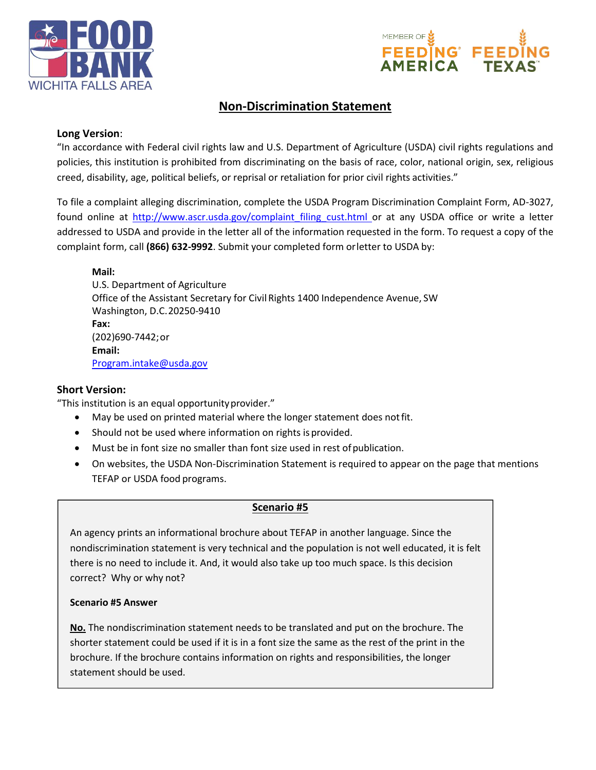



# **Non‐Discrimination Statement**

### **Long Version**:

"In accordance with Federal civil rights law and U.S. Department of Agriculture (USDA) civil rights regulations and policies, this institution is prohibited from discriminating on the basis of race, color, national origin, sex, religious creed, disability, age, political beliefs, or reprisal or retaliation for prior civil rights activities."

To file a complaint alleging discrimination, complete the USDA Program Discrimination Complaint Form, AD‐3027, found online at http://www.ascr.usda.gov/complaint filing cust.html or at any USDA office or write a letter addressed to USDA and provide in the letter all of the information requested in the form. To request a copy of the complaint form, call **(866) 632‐9992**. Submit your completed form orletter to USDA by:

**Mail:** U.S. Department of Agriculture Office of the Assistant Secretary for Civil Rights 1400 Independence Avenue, SW Washington, D.C.20250‐9410 **Fax:** (202)690‐7442;or **Email:** [Program.inta](mailto:Program.intake@usda.gov)[ke@usda.gov](mailto:ke@usda.gov)

### **Short Version:**

"This institution is an equal opportunityprovider."

- May be used on printed material where the longer statement does notfit.
- Should not be used where information on rights is provided.
- Must be in font size no smaller than font size used in rest ofpublication.
- On websites, the USDA Non-Discrimination Statement is required to appear on the page that mentions TEFAP or USDA food programs.

### **Scenario #5**

An agency prints an informational brochure about TEFAP in another language. Since the nondiscrimination statement is very technical and the population is not well educated, it is felt there is no need to include it. And, it would also take up too much space. Is this decision correct? Why or why not?

#### **Scenario #5 Answer**

**No.** The nondiscrimination statement needs to be translated and put on the brochure. The shorter statement could be used if it is in a font size the same as the rest of the print in the brochure. If the brochure contains information on rights and responsibilities, the longer statement should be used.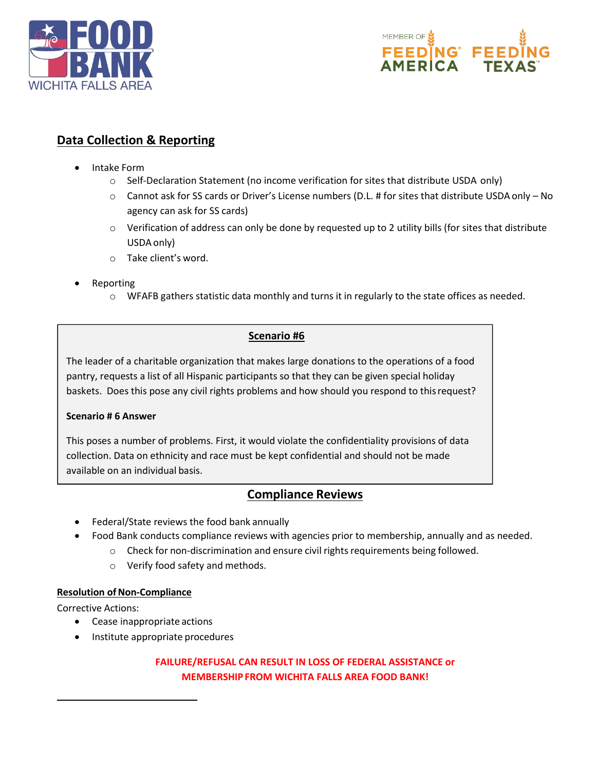



# **Data Collection & Reporting**

- Intake Form
	- o Self-Declaration Statement (no income verification for sites that distribute USDA only)
	- o Cannot ask for SS cards or Driver's License numbers (D.L. # for sites that distribute USDAonly No agency can ask for SS cards)
	- $\circ$  Verification of address can only be done by requested up to 2 utility bills (for sites that distribute USDAonly)
	- o Take client's word.
- Reporting
	- o WFAFB gathers statistic data monthly and turns it in regularly to the state offices as needed.

### **Scenario #6**

The leader of a charitable organization that makes large donations to the operations of a food pantry, requests a list of all Hispanic participants so that they can be given special holiday baskets. Does this pose any civil rights problems and how should you respond to thisrequest?

### **Scenario # 6 Answer**

This poses a number of problems. First, it would violate the confidentiality provisions of data collection. Data on ethnicity and race must be kept confidential and should not be made available on an individual basis.

## **Compliance Reviews**

- Federal/State reviews the food bank annually
- Food Bank conducts compliance reviews with agencies prior to membership, annually and as needed.
	- o Check for non‐discrimination and ensure civil rights requirements being followed.
	- o Verify food safety and methods.

### **Resolution of Non-Compliance**

Corrective Actions:

- Cease inappropriate actions
- Institute appropriate procedures

### **FAILURE/REFUSAL CAN RESULT IN LOSS OF FEDERAL ASSISTANCE or MEMBERSHIP FROM WICHITA FALLS AREA FOOD BANK!**